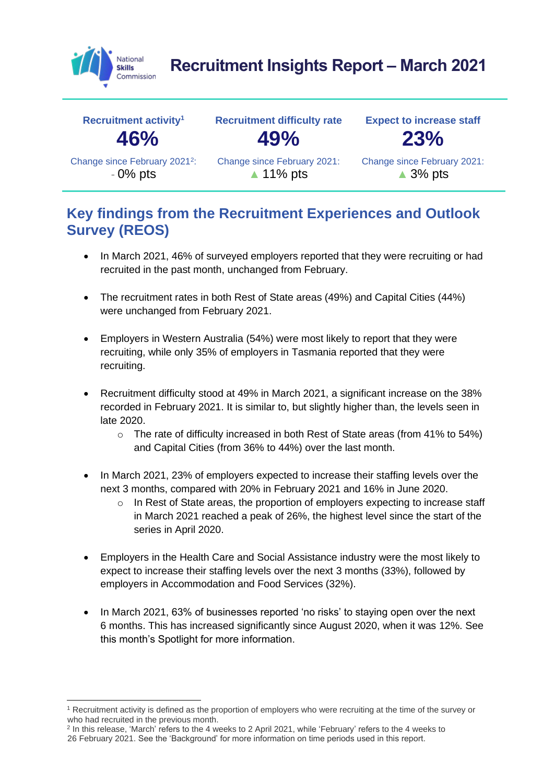

# **Recruitment Insights Report – March 2021**



#### **Key findings from the Recruitment Experiences and Outlook Survey (REOS)**

- In March 2021, 46% of surveyed employers reported that they were recruiting or had recruited in the past month, unchanged from February.
- The recruitment rates in both Rest of State areas (49%) and Capital Cities (44%) were unchanged from February 2021.
- Employers in Western Australia (54%) were most likely to report that they were recruiting, while only 35% of employers in Tasmania reported that they were recruiting.
- Recruitment difficulty stood at 49% in March 2021, a significant increase on the 38% recorded in February 2021. It is similar to, but slightly higher than, the levels seen in late 2020.
	- $\circ$  The rate of difficulty increased in both Rest of State areas (from 41% to 54%) and Capital Cities (from 36% to 44%) over the last month.
- In March 2021, 23% of employers expected to increase their staffing levels over the next 3 months, compared with 20% in February 2021 and 16% in June 2020.
	- o In Rest of State areas, the proportion of employers expecting to increase staff in March 2021 reached a peak of 26%, the highest level since the start of the series in April 2020.
- Employers in the Health Care and Social Assistance industry were the most likely to expect to increase their staffing levels over the next 3 months (33%), followed by employers in Accommodation and Food Services (32%).
- In March 2021, 63% of businesses reported 'no risks' to staying open over the next 6 months. This has increased significantly since August 2020, when it was 12%. See this month's Spotlight for more information.

<sup>&</sup>lt;sup>1</sup> Recruitment activity is defined as the proportion of employers who were recruiting at the time of the survey or who had recruited in the previous month.

<sup>&</sup>lt;sup>2</sup> In this release, 'March' refers to the 4 weeks to 2 April 2021, while 'February' refers to the 4 weeks to 26 February 2021. See the 'Background' for more information on time periods used in this report.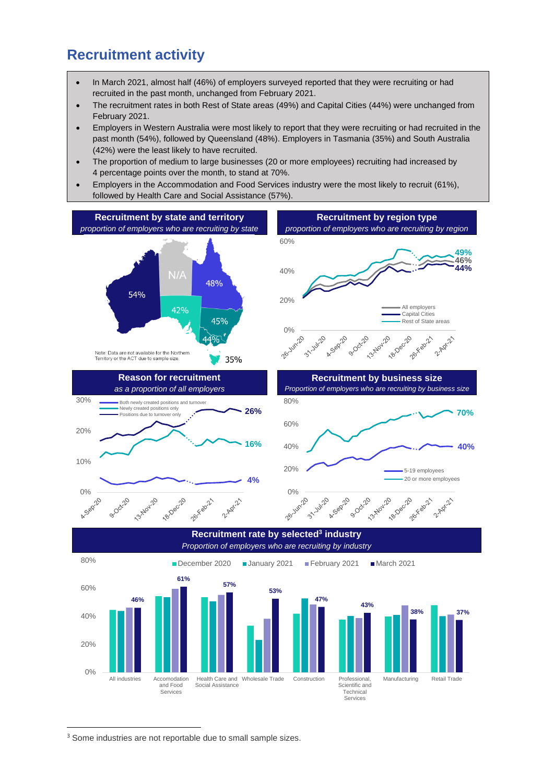#### **Recruitment activity**

- In March 2021, almost half (46%) of employers surveyed reported that they were recruiting or had recruited in the past month, unchanged from February 2021.
- The recruitment rates in both Rest of State areas (49%) and Capital Cities (44%) were unchanged from February 2021.
- Employers in Western Australia were most likely to report that they were recruiting or had recruited in the past month (54%), followed by Queensland (48%). Employers in Tasmania (35%) and South Australia (42%) were the least likely to have recruited.
- The proportion of medium to large businesses (20 or more employees) recruiting had increased by 4 percentage points over the month, to stand at 70%.
- Employers in the Accommodation and Food Services industry were the most likely to recruit (61%), followed by Health Care and Social Assistance (57%).



Technical Services

<sup>3</sup> Some industries are not reportable due to small sample sizes.

Services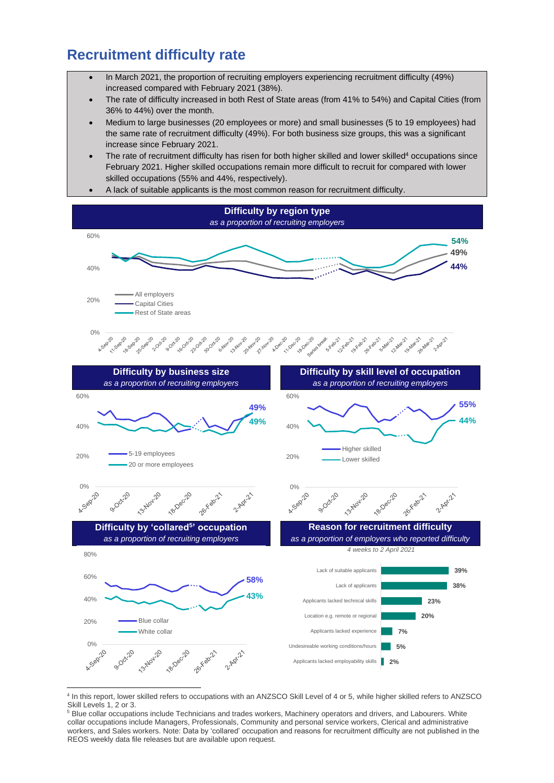### **Recruitment difficulty rate**

- In March 2021, the proportion of recruiting employers experiencing recruitment difficulty (49%) increased compared with February 2021 (38%).
- The rate of difficulty increased in both Rest of State areas (from 41% to 54%) and Capital Cities (from 36% to 44%) over the month.
- Medium to large businesses (20 employees or more) and small businesses (5 to 19 employees) had the same rate of recruitment difficulty (49%). For both business size groups, this was a significant increase since February 2021.
- The rate of recruitment difficulty has risen for both higher skilled and lower skilled<sup>4</sup> occupations since February 2021. Higher skilled occupations remain more difficult to recruit for compared with lower skilled occupations (55% and 44%, respectively).
- A lack of suitable applicants is the most common reason for recruitment difficulty.



<sup>4</sup> In this report, lower skilled refers to occupations with an ANZSCO Skill Level of 4 or 5, while higher skilled refers to ANZSCO Skill Levels 1, 2 or 3.

<sup>&</sup>lt;sup>5</sup> Blue collar occupations include Technicians and trades workers, Machinery operators and drivers, and Labourers. White collar occupations include Managers, Professionals, Community and personal service workers, Clerical and administrative workers, and Sales workers. Note: Data by 'collared' occupation and reasons for recruitment difficulty are not published in the REOS weekly data file releases but are available upon request.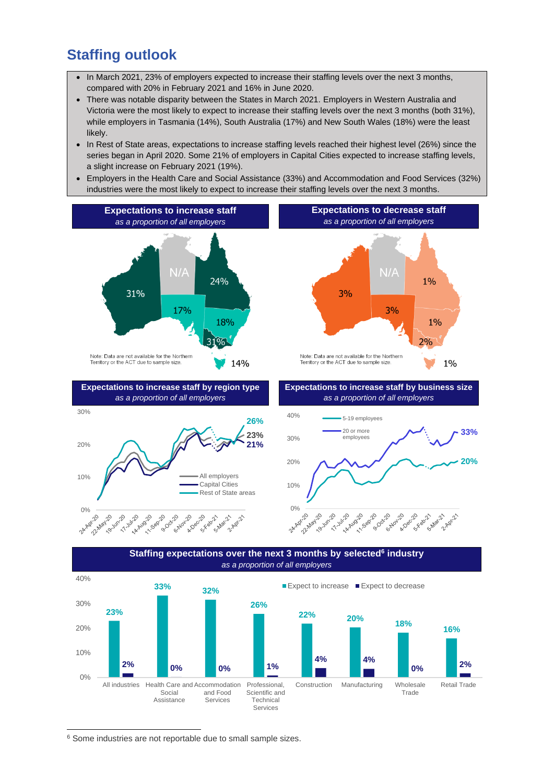### **Staffing outlook**

10%

- In March 2021, 23% of employers expected to increase their staffing levels over the next 3 months, compared with 20% in February 2021 and 16% in June 2020.
- There was notable disparity between the States in March 2021. Employers in Western Australia and Victoria were the most likely to expect to increase their staffing levels over the next 3 months (both 31%), while employers in Tasmania (14%), South Australia (17%) and New South Wales (18%) were the least likely.
- In Rest of State areas, expectations to increase staffing levels reached their highest level (26%) since the series began in April 2020. Some 21% of employers in Capital Cities expected to increase staffing levels, a slight increase on February 2021 (19%).
- Employers in the Health Care and Social Assistance (33%) and Accommodation and Food Services (32%) industries were the most likely to expect to increase their staffing levels over the next 3 months.





Services

All employers

<sup>6</sup> Some industries are not reportable due to small sample sizes.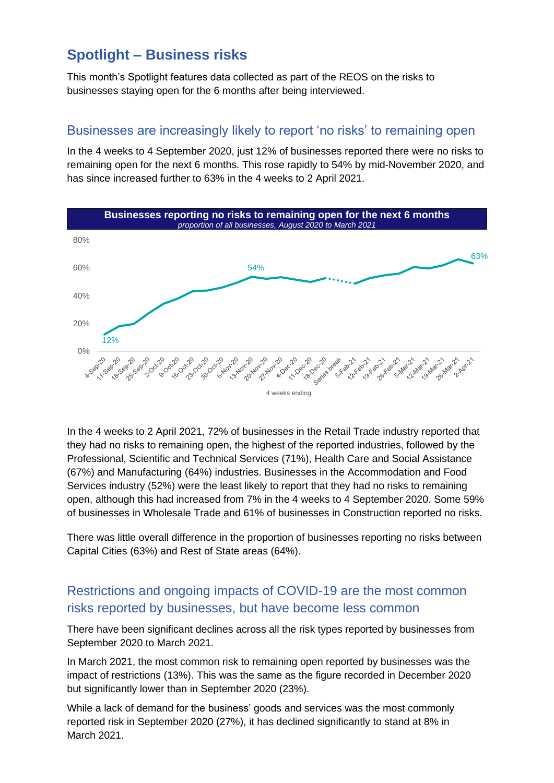## **Spotlight – Business risks**

This month's Spotlight features data collected as part of the REOS on the risks to businesses staying open for the 6 months after being interviewed.

#### Businesses are increasingly likely to report 'no risks' to remaining open

In the 4 weeks to 4 September 2020, just 12% of businesses reported there were no risks to remaining open for the next 6 months. This rose rapidly to 54% by mid-November 2020, and has since increased further to 63% in the 4 weeks to 2 April 2021.



In the 4 weeks to 2 April 2021, 72% of businesses in the Retail Trade industry reported that they had no risks to remaining open, the highest of the reported industries, followed by the Professional, Scientific and Technical Services (71%), Health Care and Social Assistance (67%) and Manufacturing (64%) industries. Businesses in the Accommodation and Food Services industry (52%) were the least likely to report that they had no risks to remaining open, although this had increased from 7% in the 4 weeks to 4 September 2020. Some 59% of businesses in Wholesale Trade and 61% of businesses in Construction reported no risks.

There was little overall difference in the proportion of businesses reporting no risks between Capital Cities (63%) and Rest of State areas (64%).

#### Restrictions and ongoing impacts of COVID-19 are the most common risks reported by businesses, but have become less common

There have been significant declines across all the risk types reported by businesses from September 2020 to March 2021.

In March 2021, the most common risk to remaining open reported by businesses was the impact of restrictions (13%). This was the same as the figure recorded in December 2020 but significantly lower than in September 2020 (23%).

While a lack of demand for the business' goods and services was the most commonly reported risk in September 2020 (27%), it has declined significantly to stand at 8% in March 2021.